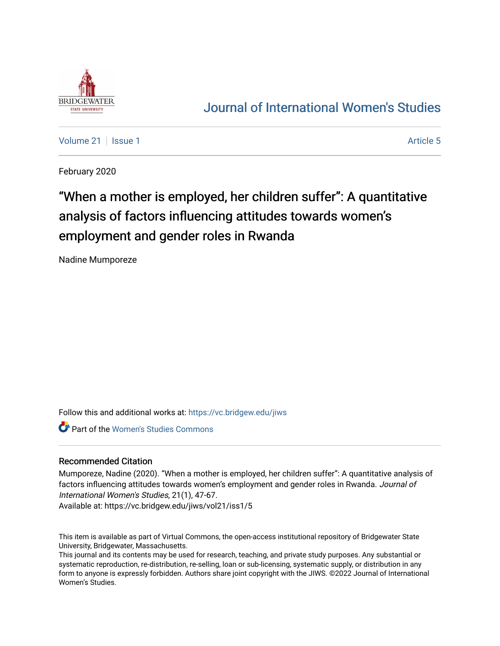

## [Journal of International Women's Studies](https://vc.bridgew.edu/jiws)

[Volume 21](https://vc.bridgew.edu/jiws/vol21) | [Issue 1](https://vc.bridgew.edu/jiws/vol21/iss1) Article 5

February 2020

# "When a mother is employed, her children suffer": A quantitative analysis of factors influencing attitudes towards women's employment and gender roles in Rwanda

Nadine Mumporeze

Follow this and additional works at: [https://vc.bridgew.edu/jiws](https://vc.bridgew.edu/jiws?utm_source=vc.bridgew.edu%2Fjiws%2Fvol21%2Fiss1%2F5&utm_medium=PDF&utm_campaign=PDFCoverPages)

**Part of the Women's Studies Commons** 

#### Recommended Citation

Mumporeze, Nadine (2020). "When a mother is employed, her children suffer": A quantitative analysis of factors influencing attitudes towards women's employment and gender roles in Rwanda. Journal of International Women's Studies, 21(1), 47-67.

Available at: https://vc.bridgew.edu/jiws/vol21/iss1/5

This item is available as part of Virtual Commons, the open-access institutional repository of Bridgewater State University, Bridgewater, Massachusetts.

This journal and its contents may be used for research, teaching, and private study purposes. Any substantial or systematic reproduction, re-distribution, re-selling, loan or sub-licensing, systematic supply, or distribution in any form to anyone is expressly forbidden. Authors share joint copyright with the JIWS. ©2022 Journal of International Women's Studies.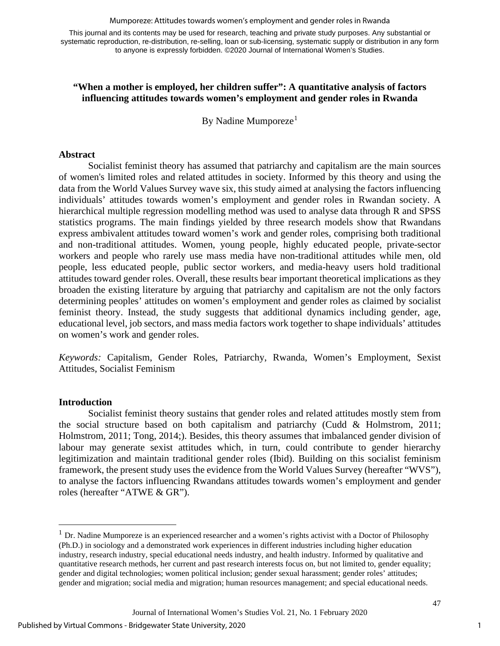Mumporeze: Attitudes towards women's employment and gender roles in Rwanda

This journal and its contents may be used for research, teaching and private study purposes. Any substantial or systematic reproduction, re-distribution, re-selling, loan or sub-licensing, systematic supply or distribution in any form to anyone is expressly forbidden. ©2020 Journal of International Women's Studies.

## **"When a mother is employed, her children suffer": A quantitative analysis of factors influencing attitudes towards women's employment and gender roles in Rwanda**

By Nadine Mumporeze<sup>[1](#page-1-0)</sup>

#### **Abstract**

Socialist feminist theory has assumed that patriarchy and capitalism are the main sources of women's limited roles and related attitudes in society. Informed by this theory and using the data from the World Values Survey wave six, this study aimed at analysing the factors influencing individuals' attitudes towards women's employment and gender roles in Rwandan society. A hierarchical multiple regression modelling method was used to analyse data through R and SPSS statistics programs. The main findings yielded by three research models show that Rwandans express ambivalent attitudes toward women's work and gender roles, comprising both traditional and non-traditional attitudes. Women, young people, highly educated people, private-sector workers and people who rarely use mass media have non-traditional attitudes while men, old people, less educated people, public sector workers, and media-heavy users hold traditional attitudes toward gender roles. Overall, these results bear important theoretical implications as they broaden the existing literature by arguing that patriarchy and capitalism are not the only factors determining peoples' attitudes on women's employment and gender roles as claimed by socialist feminist theory. Instead, the study suggests that additional dynamics including gender, age, educational level, job sectors, and mass media factors work together to shape individuals' attitudes on women's work and gender roles.

*Keywords:* Capitalism, Gender Roles, Patriarchy, Rwanda, Women's Employment, Sexist Attitudes, Socialist Feminism

### **Introduction**

Socialist feminist theory sustains that gender roles and related attitudes mostly stem from the social structure based on both capitalism and patriarchy (Cudd & Holmstrom, 2011; Holmstrom, 2011; Tong, 2014;). Besides, this theory assumes that imbalanced gender division of labour may generate sexist attitudes which, in turn, could contribute to gender hierarchy legitimization and maintain traditional gender roles (Ibid). Building on this socialist feminism framework, the present study uses the evidence from the World Values Survey (hereafter "WVS"), to analyse the factors influencing Rwandans attitudes towards women's employment and gender roles (hereafter "ATWE & GR").

1

<span id="page-1-0"></span> $<sup>1</sup>$  Dr. Nadine Mumporeze is an experienced researcher and a women's rights activist with a Doctor of Philosophy</sup> (Ph.D.) in sociology and a demonstrated work experiences in different industries including higher education industry, research industry, special educational needs industry, and health industry. Informed by qualitative and quantitative research methods, her current and past research interests focus on, but not limited to, gender equality; gender and digital technologies; women political inclusion; gender sexual harassment; gender roles' attitudes; gender and migration; social media and migration; human resources management; and special educational needs.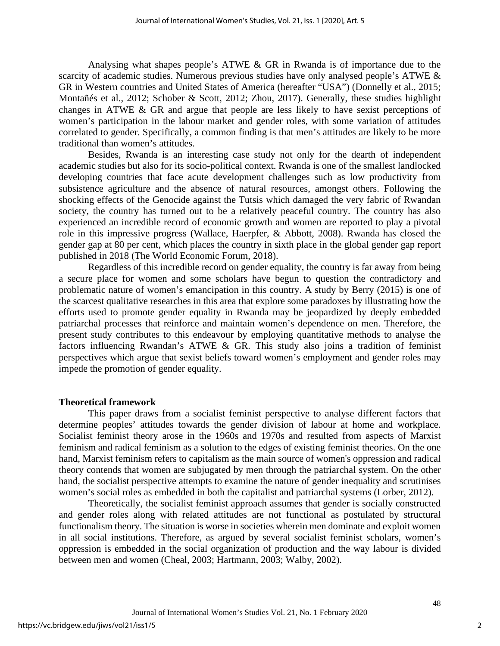Analysing what shapes people's ATWE & GR in Rwanda is of importance due to the scarcity of academic studies. Numerous previous studies have only analysed people's ATWE & GR in Western countries and United States of America (hereafter "USA") (Donnelly et al., 2015; Montañés et al., 2012; Schober & Scott, 2012; Zhou, 2017). Generally, these studies highlight changes in ATWE & GR and argue that people are less likely to have sexist perceptions of women's participation in the labour market and gender roles, with some variation of attitudes correlated to gender. Specifically, a common finding is that men's attitudes are likely to be more traditional than women's attitudes.

Besides, Rwanda is an interesting case study not only for the dearth of independent academic studies but also for its socio-political context. Rwanda is one of the smallest landlocked developing countries that face acute development challenges such as low productivity from subsistence agriculture and the absence of natural resources, amongst others. Following the shocking effects of the Genocide against the Tutsis which damaged the very fabric of Rwandan society, the country has turned out to be a relatively peaceful country. The country has also experienced an incredible record of economic growth and women are reported to play a pivotal role in this impressive progress (Wallace, Haerpfer, & Abbott, 2008). Rwanda has closed the gender gap at 80 per cent, which places the country in sixth place in the global gender gap report published in 2018 (The World Economic Forum, 2018).

Regardless of this incredible record on gender equality, the country is far away from being a secure place for women and some scholars have begun to question the contradictory and problematic nature of women's emancipation in this country. A study by Berry (2015) is one of the scarcest qualitative researches in this area that explore some paradoxes by illustrating how the efforts used to promote gender equality in Rwanda may be jeopardized by deeply embedded patriarchal processes that reinforce and maintain women's dependence on men. Therefore, the present study contributes to this endeavour by employing quantitative methods to analyse the factors influencing Rwandan's ATWE & GR. This study also joins a tradition of feminist perspectives which argue that sexist beliefs toward women's employment and gender roles may impede the promotion of gender equality.

#### **Theoretical framework**

This paper draws from a socialist feminist perspective to analyse different factors that determine peoples' attitudes towards the gender division of labour at home and workplace. Socialist feminist theory arose in the 1960s and 1970s and resulted from aspects of Marxist feminism and radical feminism as a solution to the edges of existing feminist theories. On the one hand, Marxist feminism refers to capitalism as the main source of women's oppression and radical theory contends that women are subjugated by men through the patriarchal system. On the other hand, the socialist perspective attempts to examine the nature of gender inequality and scrutinises women's social roles as embedded in both the capitalist and patriarchal systems (Lorber, 2012).

Theoretically, the socialist feminist approach assumes that gender is socially constructed and gender roles along with related attitudes are not functional as postulated by structural functionalism theory. The situation is worse in societies wherein men dominate and exploit women in all social institutions. Therefore, as argued by several socialist feminist scholars, women's oppression is embedded in the social organization of production and the way labour is divided between men and women (Cheal, 2003; Hartmann, 2003; Walby, 2002).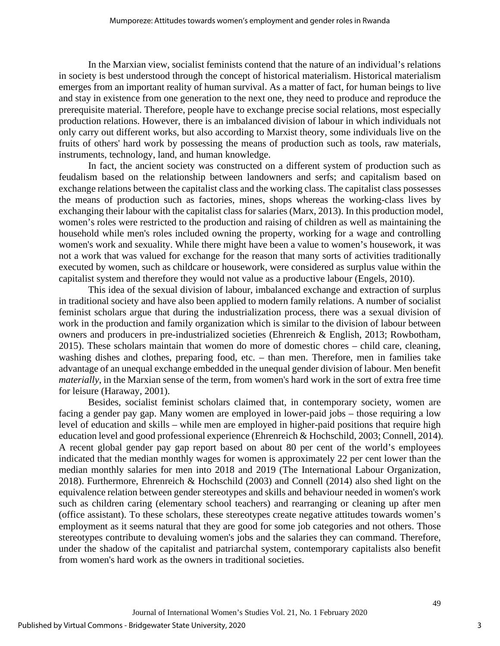In the Marxian view, socialist feminists contend that the nature of an individual's relations in society is best understood through the concept of historical materialism. Historical materialism emerges from an important reality of human survival. As a matter of fact, for human beings to live and stay in existence from one generation to the next one, they need to produce and reproduce the prerequisite material. Therefore, people have to exchange precise social relations, most especially production relations. However, there is an imbalanced division of labour in which individuals not only carry out different works, but also according to Marxist theory, some individuals live on the fruits of others' hard work by possessing the means of production such as tools, raw materials, instruments, technology, land, and human knowledge.

In fact, the ancient society was constructed on a different system of production such as feudalism based on the relationship between landowners and serfs; and capitalism based on exchange relations between the capitalist class and the working class. The capitalist class possesses the means of production such as factories, mines, shops whereas the working-class lives by exchanging their labour with the capitalist class for salaries (Marx, 2013). In this production model, women's roles were restricted to the production and raising of children as well as maintaining the household while men's roles included owning the property, working for a wage and controlling women's work and sexuality. While there might have been a value to women's housework, it was not a work that was valued for exchange for the reason that many sorts of activities traditionally executed by women, such as childcare or housework, were considered as surplus value within the capitalist system and therefore they would not value as a productive labour (Engels, 2010).

This idea of the sexual division of labour, imbalanced exchange and extraction of surplus in traditional society and have also been applied to modern family relations. A number of socialist feminist scholars argue that during the industrialization process, there was a sexual division of work in the production and family organization which is similar to the division of labour between owners and producers in pre-industrialized societies (Ehrenreich & English, 2013; Rowbotham, 2015). These scholars maintain that women do more of domestic chores – child care, cleaning, washing dishes and clothes, preparing food, etc. – than men. Therefore, men in families take advantage of an unequal exchange embedded in the unequal gender division of labour. Men benefit *materially*, in the Marxian sense of the term, from women's hard work in the sort of extra free time for leisure (Haraway, 2001).

Besides, socialist feminist scholars claimed that, in contemporary society, women are facing a gender pay gap. Many women are employed in lower-paid jobs – those requiring a low level of education and skills – while men are employed in higher-paid positions that require high education level and good professional experience (Ehrenreich & Hochschild, 2003; Connell, 2014). A recent global gender pay gap report based on about 80 per cent of the world's employees indicated that the median monthly wages for women is approximately 22 per cent lower than the median monthly salaries for men into 2018 and 2019 (The International Labour Organization, 2018). Furthermore, Ehrenreich & Hochschild (2003) and Connell (2014) also shed light on the equivalence relation between gender stereotypes and skills and behaviour needed in women's work such as children caring (elementary school teachers) and rearranging or cleaning up after men (office assistant). To these scholars, these stereotypes create negative attitudes towards women's employment as it seems natural that they are good for some job categories and not others. Those stereotypes contribute to devaluing women's jobs and the salaries they can command. Therefore, under the shadow of the capitalist and patriarchal system, contemporary capitalists also benefit from women's hard work as the owners in traditional societies.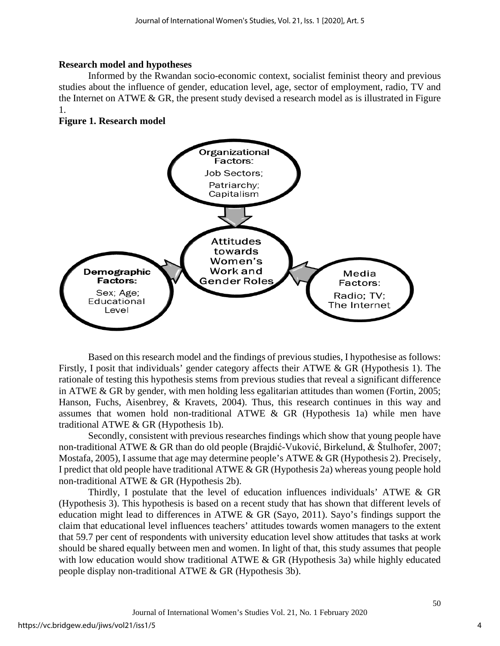## **Research model and hypotheses**

Informed by the Rwandan socio-economic context, socialist feminist theory and previous studies about the influence of gender, education level, age, sector of employment, radio, TV and the Internet on ATWE  $&$  GR, the present study devised a research model as is illustrated in Figure 1.

## **Figure 1. Research model**



Based on this research model and the findings of previous studies, I hypothesise as follows: Firstly, I posit that individuals' gender category affects their ATWE & GR (Hypothesis 1). The rationale of testing this hypothesis stems from previous studies that reveal a significant difference in ATWE & GR by gender, with men holding less egalitarian attitudes than women (Fortin, 2005; Hanson, Fuchs, Aisenbrey, & Kravets, 2004). Thus, this research continues in this way and assumes that women hold non-traditional ATWE & GR (Hypothesis 1a) while men have traditional ATWE & GR (Hypothesis 1b).

Secondly, consistent with previous researches findings which show that young people have non-traditional ATWE & GR than do old people (Brajdić-Vuković, Birkelund, & Štulhofer, 2007; Mostafa, 2005), I assume that age may determine people's ATWE & GR (Hypothesis 2). Precisely, I predict that old people have traditional ATWE & GR (Hypothesis 2a) whereas young people hold non-traditional ATWE & GR (Hypothesis 2b).

Thirdly, I postulate that the level of education influences individuals' ATWE & GR (Hypothesis 3). This hypothesis is based on a recent study that has shown that different levels of education might lead to differences in ATWE & GR (Sayo, 2011). Sayo's findings support the claim that educational level influences teachers' attitudes towards women managers to the extent that 59.7 per cent of respondents with university education level show attitudes that tasks at work should be shared equally between men and women. In light of that, this study assumes that people with low education would show traditional ATWE & GR (Hypothesis 3a) while highly educated people display non-traditional ATWE & GR (Hypothesis 3b).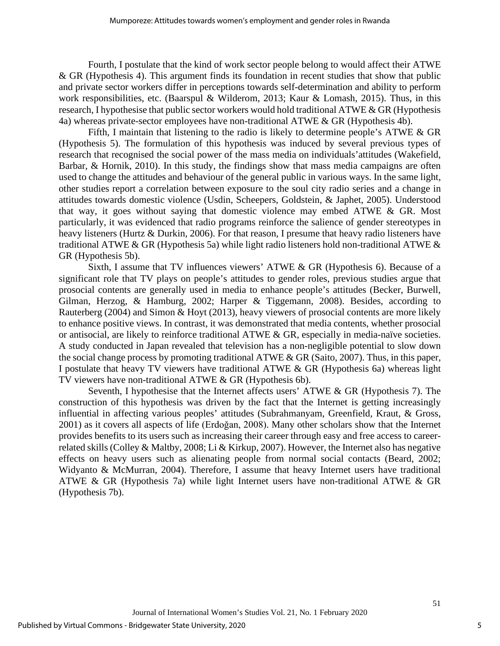Fourth, I postulate that the kind of work sector people belong to would affect their ATWE & GR (Hypothesis 4). This argument finds its foundation in recent studies that show that public and private sector workers differ in perceptions towards self-determination and ability to perform work responsibilities, etc. (Baarspul & Wilderom, 2013; Kaur & Lomash, 2015). Thus, in this research, I hypothesise that public sector workers would hold traditional ATWE & GR (Hypothesis 4a) whereas private-sector employees have non-traditional ATWE & GR (Hypothesis 4b).

Fifth, I maintain that listening to the radio is likely to determine people's ATWE & GR (Hypothesis 5). The formulation of this hypothesis was induced by several previous types of research that recognised the social power of the mass media on individuals'attitudes (Wakefield, Barbar, & Hornik, 2010). In this study, the findings show that mass media campaigns are often used to change the attitudes and behaviour of the general public in various ways. In the same light, other studies report a correlation between exposure to the soul city radio series and a change in attitudes towards domestic violence (Usdin, Scheepers, Goldstein, & Japhet, 2005). Understood that way, it goes without saying that domestic violence may embed ATWE & GR. Most particularly, it was evidenced that radio programs reinforce the salience of gender stereotypes in heavy listeners (Hurtz & Durkin, 2006). For that reason, I presume that heavy radio listeners have traditional ATWE & GR (Hypothesis 5a) while light radio listeners hold non-traditional ATWE  $\&$ GR (Hypothesis 5b).

Sixth, I assume that TV influences viewers' ATWE & GR (Hypothesis 6). Because of a significant role that TV plays on people's attitudes to gender roles, previous studies argue that prosocial contents are generally used in media to enhance people's attitudes (Becker, Burwell, Gilman, Herzog, & Hamburg, 2002; Harper & Tiggemann, 2008). Besides, according to Rauterberg (2004) and Simon & Hoyt (2013), heavy viewers of prosocial contents are more likely to enhance positive views. In contrast, it was demonstrated that media contents, whether prosocial or antisocial, are likely to reinforce traditional ATWE & GR, especially in media-naïve societies. A study conducted in Japan revealed that television has a non-negligible potential to slow down the social change process by promoting traditional ATWE & GR (Saito, 2007). Thus, in this paper, I postulate that heavy TV viewers have traditional ATWE & GR (Hypothesis 6a) whereas light TV viewers have non-traditional ATWE & GR (Hypothesis 6b).

Seventh, I hypothesise that the Internet affects users' ATWE & GR (Hypothesis 7). The construction of this hypothesis was driven by the fact that the Internet is getting increasingly influential in affecting various peoples' attitudes (Subrahmanyam, Greenfield, Kraut, & Gross, 2001) as it covers all aspects of life (Erdoğan, 2008). Many other scholars show that the Internet provides benefits to its users such as increasing their career through easy and free access to careerrelated skills (Colley & Maltby, 2008; Li & Kirkup, 2007). However, the Internet also has negative effects on heavy users such as alienating people from normal social contacts (Beard, 2002; Widyanto & McMurran, 2004). Therefore, I assume that heavy Internet users have traditional ATWE & GR (Hypothesis 7a) while light Internet users have non-traditional ATWE & GR (Hypothesis 7b).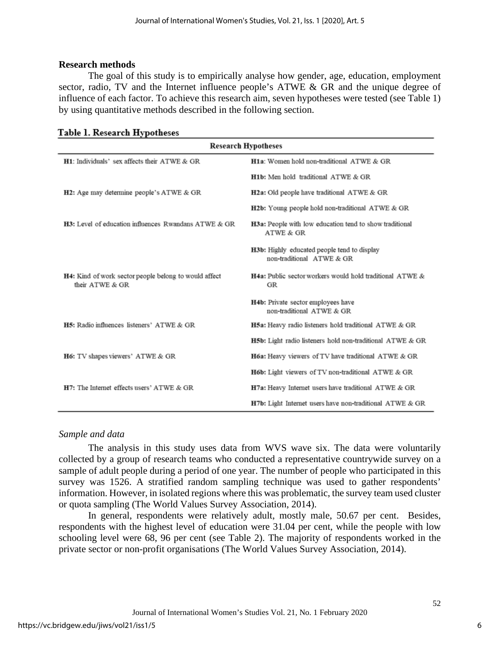#### **Research methods**

The goal of this study is to empirically analyse how gender, age, education, employment sector, radio, TV and the Internet influence people's ATWE & GR and the unique degree of influence of each factor. To achieve this research aim, seven hypotheses were tested (see Table 1) by using quantitative methods described in the following section.

| <b>Research Hypotheses</b>                                               |                                                                                 |  |  |  |  |  |  |
|--------------------------------------------------------------------------|---------------------------------------------------------------------------------|--|--|--|--|--|--|
| H1: Individuals' sex affects their ATWE & GR                             | H1a: Women hold non-traditional ATWE & GR                                       |  |  |  |  |  |  |
|                                                                          | H <sub>1</sub> b: Men hold traditional ATWE & GR                                |  |  |  |  |  |  |
| H2: Age may determine people's ATWE & GR                                 | H2a: Old people have traditional ATWE & GR                                      |  |  |  |  |  |  |
|                                                                          | H2b: Young people hold non-traditional ATWE & GR                                |  |  |  |  |  |  |
| <b>H3:</b> Level of education influences Rwandans ATWE & GR              | H3a: People with low education tend to show traditional<br>ATWE & GR            |  |  |  |  |  |  |
|                                                                          | <b>H3b:</b> Highly educated people tend to display<br>non-traditional ATWE & GR |  |  |  |  |  |  |
| H4: Kind of work sector people belong to would affect<br>their ATWE & GR | H4a: Public sector workers would hold traditional ATWE &<br>GR                  |  |  |  |  |  |  |
|                                                                          | H4b: Private sector employees have<br>non-traditional ATWE & GR                 |  |  |  |  |  |  |
| H5: Radio influences listeners' ATWE & GR                                | H5a: Heavy radio listeners hold traditional ATWE & GR                           |  |  |  |  |  |  |
|                                                                          | H5b: Light radio listeners hold non-traditional ATWE & GR                       |  |  |  |  |  |  |
| H6: TV shapes viewers' ATWE & GR                                         | H6a: Heavy viewers of TV have traditional ATWE & GR                             |  |  |  |  |  |  |
|                                                                          | H6b: Light viewers of TV non-traditional ATWE & GR                              |  |  |  |  |  |  |
| H7: The Internet effects users' ATWE & GR                                | H7a: Heavy Internet users have traditional ATWE & GR                            |  |  |  |  |  |  |
|                                                                          | H7b: Light Internet users have non-traditional ATWE & GR                        |  |  |  |  |  |  |

#### Table 1. Research Hypotheses

### *Sample and data*

The analysis in this study uses data from WVS wave six. The data were voluntarily collected by a group of research teams who conducted a representative countrywide survey on a sample of adult people during a period of one year. The number of people who participated in this survey was 1526. A stratified random sampling technique was used to gather respondents' information. However, in isolated regions where this was problematic, the survey team used cluster or quota sampling (The World Values Survey Association, 2014).

In general, respondents were relatively adult, mostly male, 50.67 per cent. Besides, respondents with the highest level of education were 31.04 per cent, while the people with low schooling level were 68, 96 per cent (see Table 2). The majority of respondents worked in the private sector or non-profit organisations (The World Values Survey Association, 2014).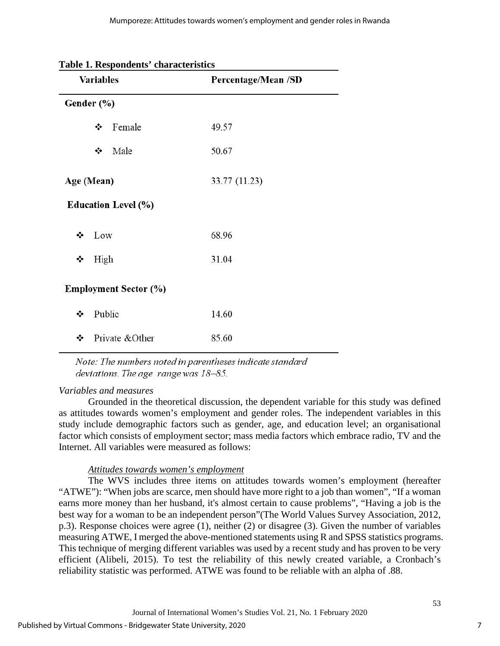|            | <b>Table 1. Respondents Characteristics</b><br><b>Variables</b> | Percentage/Mean /SD |
|------------|-----------------------------------------------------------------|---------------------|
| Gender (%) |                                                                 |                     |
|            | Female<br>❖                                                     | 49.57               |
|            | ❖<br>Male                                                       | 50.67               |
| Age (Mean) |                                                                 | 33.77 (11.23)       |
|            | <b>Education Level (%)</b>                                      |                     |
| ❖          | Low                                                             | 68.96               |
| High<br>❖  |                                                                 | 31.04               |
|            | <b>Employment Sector (%)</b>                                    |                     |
| ❖          | Public                                                          | 14.60               |
| ❖          | Private & Other                                                 | 85.60               |

## **Table 1. Respondents' characteristics**

Note: The numbers noted in parentheses indicate standard deviations. The age range was  $18-85$ .

## *Variables and measures*

Grounded in the theoretical discussion, the dependent variable for this study was defined as attitudes towards women's employment and gender roles. The independent variables in this study include demographic factors such as gender, age, and education level; an organisational factor which consists of employment sector; mass media factors which embrace radio, TV and the Internet. All variables were measured as follows:

## *Attitudes towards women's employment*

The WVS includes three items on attitudes towards women's employment (hereafter "ATWE"): "When jobs are scarce, men should have more right to a job than women", "If a woman earns more money than her husband, it's almost certain to cause problems", "Having a job is the best way for a woman to be an independent person"(The World Values Survey Association, 2012, p.3). Response choices were agree (1), neither (2) or disagree (3). Given the number of variables measuring ATWE, I merged the above-mentioned statements using R and SPSS statistics programs. This technique of merging different variables was used by a recent study and has proven to be very efficient (Alibeli, 2015). To test the reliability of this newly created variable, a Cronbach's reliability statistic was performed. ATWE was found to be reliable with an alpha of .88.

7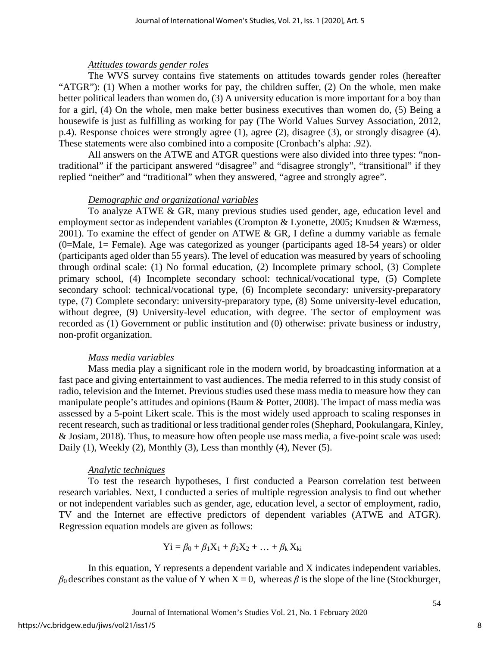## *Attitudes towards gender roles*

The WVS survey contains five statements on attitudes towards gender roles (hereafter "ATGR"): (1) When a mother works for pay, the children suffer, (2) On the whole, men make better political leaders than women do, (3) A university education is more important for a boy than for a girl, (4) On the whole, men make better business executives than women do, (5) Being a housewife is just as fulfilling as working for pay (The World Values Survey Association, 2012, p.4). Response choices were strongly agree (1), agree (2), disagree (3), or strongly disagree (4). These statements were also combined into a composite (Cronbach's alpha: .92).

All answers on the ATWE and ATGR questions were also divided into three types: "nontraditional" if the participant answered "disagree" and "disagree strongly", "transitional" if they replied "neither" and "traditional" when they answered, "agree and strongly agree".

### *Demographic and organizational variables*

To analyze ATWE & GR, many previous studies used gender, age, education level and employment sector as independent variables (Crompton & Lyonette, 2005; Knudsen & Wærness, 2001). To examine the effect of gender on ATWE & GR, I define a dummy variable as female (0=Male, 1= Female). Age was categorized as younger (participants aged 18-54 years) or older (participants aged older than 55 years). The level of education was measured by years of schooling through ordinal scale: (1) No formal education, (2) Incomplete primary school, (3) Complete primary school, (4) Incomplete secondary school: technical/vocational type, (5) Complete secondary school: technical/vocational type, (6) Incomplete secondary: university-preparatory type, (7) Complete secondary: university-preparatory type, (8) Some university-level education, without degree, (9) University-level education, with degree. The sector of employment was recorded as (1) Government or public institution and (0) otherwise: private business or industry, non-profit organization.

## *Mass media variables*

Mass media play a significant role in the modern world, by broadcasting information at a fast pace and giving entertainment to vast audiences. The media referred to in this study consist of radio, television and the Internet. Previous studies used these mass media to measure how they can manipulate people's attitudes and opinions (Baum & Potter, 2008). The impact of mass media was assessed by a 5-point Likert scale. This is the most widely used approach to scaling responses in recent research, such as traditional or less traditional gender roles (Shephard, Pookulangara, Kinley, & Josiam, 2018). Thus, to measure how often people use mass media, a five-point scale was used: Daily (1), Weekly (2), Monthly (3), Less than monthly (4), Never (5).

## *Analytic techniques*

To test the research hypotheses, I first conducted a Pearson correlation test between research variables. Next, I conducted a series of multiple regression analysis to find out whether or not independent variables such as gender, age, education level, a sector of employment, radio, TV and the Internet are effective predictors of dependent variables (ATWE and ATGR). Regression equation models are given as follows:

$$
Yi = \beta_0 + \beta_1 X_1 + \beta_2 X_2 + \ldots + \beta_k X_{ki}
$$

In this equation, Y represents a dependent variable and X indicates independent variables.  $β$ <sup>0</sup> describes constant as the value of Y when  $X = 0$ , whereas *β* is the slope of the line (Stockburger,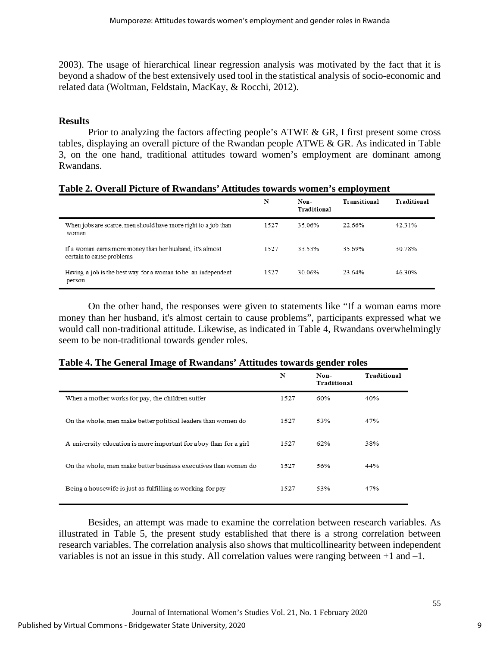2003). The usage of hierarchical linear regression analysis was motivated by the fact that it is beyond a shadow of the best extensively used tool in the statistical analysis of socio-economic and related data (Woltman, Feldstain, MacKay, & Rocchi, 2012).

## **Results**

Prior to analyzing the factors affecting people's ATWE & GR, I first present some cross tables, displaying an overall picture of the Rwandan people ATWE & GR. As indicated in Table 3, on the one hand, traditional attitudes toward women's employment are dominant among Rwandans.

|  | Table 2. Overall Picture of Rwandans' Attitudes towards women's employment |  |  |
|--|----------------------------------------------------------------------------|--|--|
|  |                                                                            |  |  |

|                                                                                        | N    | Non-<br>Traditional | Transitional | Traditional |
|----------------------------------------------------------------------------------------|------|---------------------|--------------|-------------|
| When jobs are scarce, men should have more right to a job than<br>women                | 1527 | 35.06%              | 22.66%       | 42.31%      |
| If a woman earns more money than her husband, it's almost<br>certain to cause problems | 1527 | 33.53%              | 35 69%       | 30.78%      |
| Having a job is the best way for a woman to be an independent<br>person                | 1527 | 30.06%              | 23 64%       | 46.30%      |

On the other hand, the responses were given to statements like "If a woman earns more money than her husband, it's almost certain to cause problems", participants expressed what we would call non-traditional attitude. Likewise, as indicated in Table 4, Rwandans overwhelmingly seem to be non-traditional towards gender roles.

| Table 4. The General Image of Rwandans' Attitudes towards gender roles |  |
|------------------------------------------------------------------------|--|
|------------------------------------------------------------------------|--|

|                                                                    | N    | Non-<br>Traditional | Traditional |
|--------------------------------------------------------------------|------|---------------------|-------------|
| When a mother works for pay, the children suffer                   | 1527 | 60%                 | 40%         |
| On the whole, men make better political leaders than women do      | 1527 | 53%                 | 47%         |
| A university education is more important for a boy than for a girl | 1527 | 62%                 | 38%         |
| On the whole, men make better business executives than women do    | 1527 | 56%                 | 44%         |
| Being a housewife is just as fulfilling as working for pay         | 1527 | 53%                 | 47%         |

Besides, an attempt was made to examine the correlation between research variables. As illustrated in Table 5, the present study established that there is a strong correlation between research variables. The correlation analysis also shows that multicollinearity between independent variables is not an issue in this study. All correlation values were ranging between +1 and –1.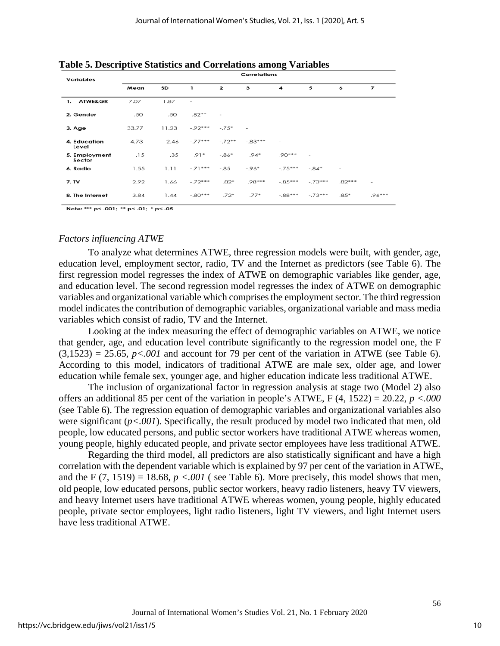| <b>Variables</b>         |       | Correlations |              |              |                          |                          |           |          |                |  |  |
|--------------------------|-------|--------------|--------------|--------------|--------------------------|--------------------------|-----------|----------|----------------|--|--|
|                          | Mean  | <b>SD</b>    | $\mathbf{1}$ | $\mathbf{z}$ | 3                        | 4                        | 5         | 6        | $\overline{z}$ |  |  |
| <b>ATWE&amp;GR</b><br>1. | 7.07  | 1.87         | $\sim$       |              |                          |                          |           |          |                |  |  |
| 2. Gender                | .50   | .50          | $.82***$     | $\sim$       |                          |                          |           |          |                |  |  |
| 3. Age                   | 33.77 | 11.23        | $-0.92***$   | $-.75*$      | $\overline{\phantom{a}}$ |                          |           |          |                |  |  |
| 4. Education<br>Level    | 4.73  | 2.46         | $-.77***$    | $-.72**$     | $-0.83***$               | $\overline{\phantom{a}}$ |           |          |                |  |  |
| 5. Employment<br>Sector  | .15   | .35          | $.91*$       | $-0.86*$     | $.94*$                   | $.90***$                 | $\sim$    |          |                |  |  |
| 6. Radio                 | 1.55  | 1.11         | $-.71***$    | $-.85$       | $-96*$                   | $-.75***$                | $-.84*$   | $\sim$   |                |  |  |
| 7. TV                    | 2.92  | 1.66         | $-.72***$    | $.82*$       | $.98***$                 | $-0.85***$               | $-.73***$ | $.82***$ | -              |  |  |
| 8. The Internet          | 3.84  | 1.44         | $-0.80***$   | $.72*$       | $.77*$                   | $-88***$                 | $-.73***$ | $.85*$   | $.96***$       |  |  |
|                          |       |              |              |              |                          |                          |           |          |                |  |  |

**Table 5. Descriptive Statistics and Correlations among Variables** 

Note: \*\*\* p< .001; \*\* p< .01; \* p< .05

#### *Factors influencing ATWE*

To analyze what determines ATWE, three regression models were built, with gender, age, education level, employment sector, radio, TV and the Internet as predictors (see Table 6). The first regression model regresses the index of ATWE on demographic variables like gender, age, and education level. The second regression model regresses the index of ATWE on demographic variables and organizational variable which comprises the employment sector. The third regression model indicates the contribution of demographic variables, organizational variable and mass media variables which consist of radio, TV and the Internet.

Looking at the index measuring the effect of demographic variables on ATWE, we notice that gender, age, and education level contribute significantly to the regression model one, the F  $(3,1523) = 25.65$ ,  $p < .001$  and account for 79 per cent of the variation in ATWE (see Table 6). According to this model, indicators of traditional ATWE are male sex, older age, and lower education while female sex, younger age, and higher education indicate less traditional ATWE.

The inclusion of organizational factor in regression analysis at stage two (Model 2) also offers an additional 85 per cent of the variation in people's ATWE, F (4, 1522) = 20.22, *p <.000* (see Table 6). The regression equation of demographic variables and organizational variables also were significant (*p<.001*). Specifically, the result produced by model two indicated that men, old people, low educated persons, and public sector workers have traditional ATWE whereas women, young people, highly educated people, and private sector employees have less traditional ATWE.

Regarding the third model, all predictors are also statistically significant and have a high correlation with the dependent variable which is explained by 97 per cent of the variation in ATWE, and the F  $(7, 1519) = 18.68$ ,  $p < .001$  (see Table 6). More precisely, this model shows that men, old people, low educated persons, public sector workers, heavy radio listeners, heavy TV viewers, and heavy Internet users have traditional ATWE whereas women, young people, highly educated people, private sector employees, light radio listeners, light TV viewers, and light Internet users have less traditional ATWE.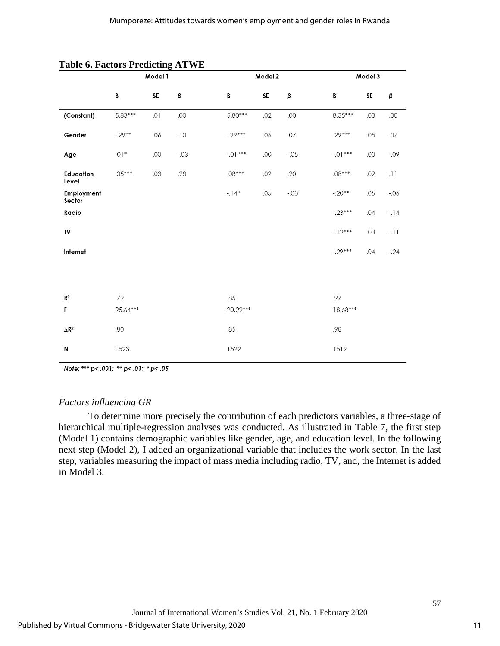|                         | Model 1   |     |               |           | Model 2 |         |           | Model 3 |                         |  |
|-------------------------|-----------|-----|---------------|-----------|---------|---------|-----------|---------|-------------------------|--|
|                         | B         | SE  | $\pmb{\beta}$ | B         | SF      | $\beta$ | B         | SE      | $\beta$                 |  |
| (Constant)              | $5.83***$ | .01 | .00           | $5.80***$ | .02     | .00     | $8.35***$ | .03     | .00                     |  |
| Gender                  | $.29***$  | .06 | .10           | $.29***$  | .06     | .07     | $.29***$  | .05     | .07                     |  |
| Age                     | $-01*$    | .00 | $-.03$        | $-.01***$ | .00     | $-.05$  | $-.01***$ | .00     | $-0.09$                 |  |
| Education<br>Level      | $.35***$  | .03 | .28           | $.08***$  | .02     | .20     | $.08***$  | .02     | $\lrcorner \, \rceil$ ] |  |
| Employment<br>Sector    |           |     |               | $-14*$    | .05     | $-.03$  | $-.20**$  | .05     | $-0.06$                 |  |
| Radio                   |           |     |               |           |         |         | $-.23***$ | .04     | $-14$                   |  |
| TV                      |           |     |               |           |         |         | $-12***$  | .03     | $-11$                   |  |
| Internet                |           |     |               |           |         |         | $-29***$  | .04     | $-.24$                  |  |
|                         |           |     |               |           |         |         |           |         |                         |  |
| $\mathbb{R}^2$          | .79       |     |               | .85       |         |         | .97       |         |                         |  |
| F                       | 25.64***  |     |               | 20.22***  |         |         | 18.68***  |         |                         |  |
| $\Delta$ R <sup>2</sup> | .80       |     |               | .85       |         |         | .98       |         |                         |  |
| N                       | 1523      |     |               | 1522      |         |         | 1519      |         |                         |  |

#### **Table 6. Factors Predicting ATWE**

Note: \*\*\* p<.001; \*\* p<.01; \*p<.05

### *Factors influencing GR*

To determine more precisely the contribution of each predictors variables, a three-stage of hierarchical multiple-regression analyses was conducted. As illustrated in Table 7, the first step (Model 1) contains demographic variables like gender, age, and education level. In the following next step (Model 2), I added an organizational variable that includes the work sector. In the last step, variables measuring the impact of mass media including radio, TV, and, the Internet is added in Model 3.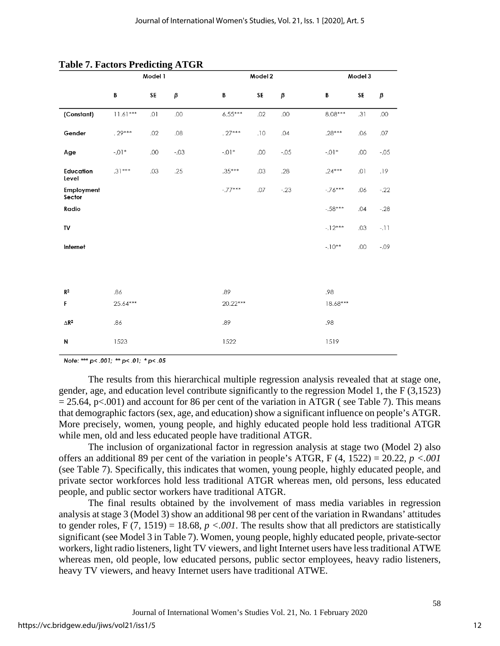|                       | Model 1    |     |        |           | Model 2 |        |            | Model 3 |         |  |
|-----------------------|------------|-----|--------|-----------|---------|--------|------------|---------|---------|--|
|                       | B          | SE  | β      | B         | SE      | β      | В          | SE      | β       |  |
| (Constant)            | $11.61***$ | .01 | .00    | $6.55***$ | .02     | .00    | $8.08***$  | .31     | .00     |  |
| Gender                | $.29***$   | .02 | .08    | $.27***$  | .10     | .04    | $.28***$   | .06     | .07     |  |
| Age                   | $-.01*$    | .00 | $-.03$ | $-.01*$   | .00     | $-.05$ | $-.01*$    | .00     | $-.05$  |  |
| Education<br>Level    | $.31***$   | .03 | .25    | $.35***$  | .03     | .28    | $.24***$   | .01     | .19     |  |
| Employment<br>Sector  |            |     |        | $-.77***$ | .07     | $-23$  | $-76***$   | .06     | $-.22$  |  |
| Radio                 |            |     |        |           |         |        | $-.58***$  | .04     | $-.28$  |  |
| TV                    |            |     |        |           |         |        | $-12***$   | .03     | $-11$   |  |
| Internet              |            |     |        |           |         |        | $-10**$    | .00     | $-0.09$ |  |
|                       |            |     |        |           |         |        |            |         |         |  |
| R <sup>2</sup>        | .86        |     |        | .89       |         |        | .98        |         |         |  |
| F                     | 25.64***   |     |        | 20.22***  |         |        | $18.68***$ |         |         |  |
| $\Delta \mathsf{R}^2$ | .86        |     |        | .89       |         |        | .98        |         |         |  |
| N                     | 1523       |     |        | 1522      |         |        | 1519       |         |         |  |

#### **Table 7. Factors Predicting ATGR**

Note: \*\*\* p<.001; \*\* p<.01; \*p<.05

The results from this hierarchical multiple regression analysis revealed that at stage one, gender, age, and education level contribute significantly to the regression Model 1, the F (3,1523)  $= 25.64$ , p<.001) and account for 86 per cent of the variation in ATGR ( see Table 7). This means that demographic factors (sex, age, and education) show a significant influence on people's ATGR. More precisely, women, young people, and highly educated people hold less traditional ATGR while men, old and less educated people have traditional ATGR.

The inclusion of organizational factor in regression analysis at stage two (Model 2) also offers an additional 89 per cent of the variation in people's ATGR,  $F(4, 1522) = 20.22$ ,  $p < .001$ (see Table 7). Specifically, this indicates that women, young people, highly educated people, and private sector workforces hold less traditional ATGR whereas men, old persons, less educated people, and public sector workers have traditional ATGR.

The final results obtained by the involvement of mass media variables in regression analysis at stage 3 (Model 3) show an additional 98 per cent of the variation in Rwandans' attitudes to gender roles, F (7, 1519) = 18.68,  $p < .001$ . The results show that all predictors are statistically significant (see Model 3 in Table 7). Women, young people, highly educated people, private-sector workers, light radio listeners, light TV viewers, and light Internet users have less traditional ATWE whereas men, old people, low educated persons, public sector employees, heavy radio listeners, heavy TV viewers, and heavy Internet users have traditional ATWE.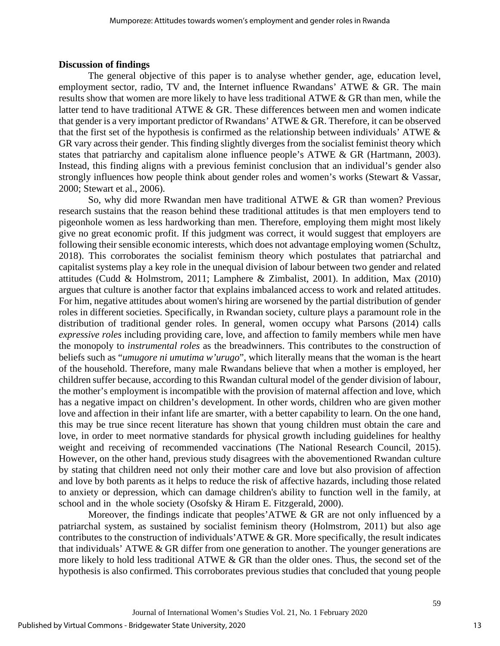#### **Discussion of findings**

The general objective of this paper is to analyse whether gender, age, education level, employment sector, radio, TV and, the Internet influence Rwandans' ATWE & GR. The main results show that women are more likely to have less traditional ATWE & GR than men, while the latter tend to have traditional ATWE & GR. These differences between men and women indicate that gender is a very important predictor of Rwandans' ATWE & GR. Therefore, it can be observed that the first set of the hypothesis is confirmed as the relationship between individuals' ATWE  $\&$ GR vary across their gender. This finding slightly diverges from the socialist feminist theory which states that patriarchy and capitalism alone influence people's ATWE & GR (Hartmann, 2003). Instead, this finding aligns with a previous feminist conclusion that an individual's gender also strongly influences how people think about gender roles and women's works (Stewart & Vassar, 2000; Stewart et al., 2006).

So, why did more Rwandan men have traditional ATWE & GR than women? Previous research sustains that the reason behind these traditional attitudes is that men employers tend to pigeonhole women as less hardworking than men. Therefore, employing them might most likely give no great economic profit. If this judgment was correct, it would suggest that employers are following their sensible economic interests, which does not advantage employing women (Schultz, 2018). This corroborates the socialist feminism theory which postulates that patriarchal and capitalist systems play a key role in the unequal division of labour between two gender and related attitudes (Cudd & Holmstrom, 2011; Lamphere & Zimbalist, 2001). In addition, Max (2010) argues that culture is another factor that explains imbalanced access to work and related attitudes. For him, negative attitudes about women's hiring are worsened by the partial distribution of gender roles in different societies. Specifically, in Rwandan society, culture plays a paramount role in the distribution of traditional gender roles. In general, women occupy what Parsons (2014) calls *expressive roles* including providing care, love, and affection to family members while men have the monopoly to *instrumental roles* as the breadwinners. This contributes to the construction of beliefs such as "*umugore ni umutima w'urugo*", which literally means that the woman is the heart of the household. Therefore, many male Rwandans believe that when a mother is employed, her children suffer because, according to this Rwandan cultural model of the gender division of labour, the mother's employment is incompatible with the provision of maternal affection and love, which has a negative impact on children's development. In other words, children who are given mother love and affection in their infant life are smarter, with a better capability to learn. On the one hand, this may be true since recent literature has shown that young children must obtain the care and love, in order to meet normative standards for physical growth including guidelines for healthy weight and receiving of recommended vaccinations (The National Research Council, 2015). However, on the other hand, previous study disagrees with the abovementioned Rwandan culture by stating that children need not only their mother care and love but also provision of affection and love by both parents as it helps to reduce the risk of affective hazards, including those related to anxiety or depression, which can damage children's ability to function well in the family, at school and in the whole society (Osofsky & Hiram E. Fitzgerald, 2000).

Moreover, the findings indicate that peoples'ATWE & GR are not only influenced by a patriarchal system, as sustained by socialist feminism theory (Holmstrom, 2011) but also age contributes to the construction of individuals'  $ATWE \& GR$ . More specifically, the result indicates that individuals' ATWE & GR differ from one generation to another. The younger generations are more likely to hold less traditional ATWE & GR than the older ones. Thus, the second set of the hypothesis is also confirmed. This corroborates previous studies that concluded that young people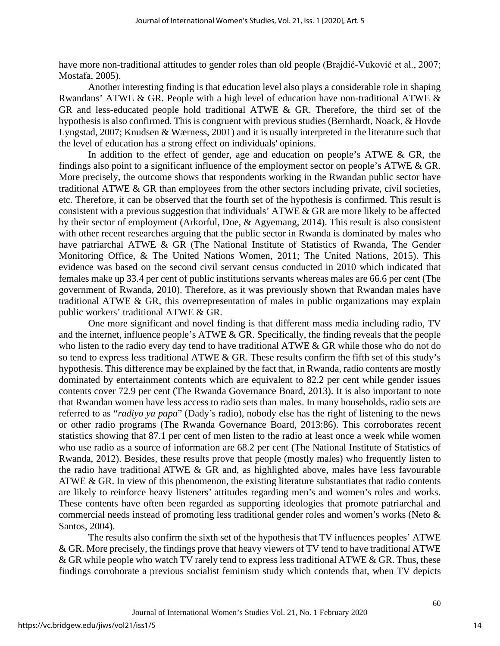have more non-traditional attitudes to gender roles than old people (Brajdić-Vuković et al., 2007; Mostafa, 2005).

Another interesting finding is that education level also plays a considerable role in shaping Rwandans' ATWE & GR. People with a high level of education have non-traditional ATWE & GR and less-educated people hold traditional ATWE & GR. Therefore, the third set of the hypothesis is also confirmed. This is congruent with previous studies (Bernhardt, Noack, & Hovde Lyngstad, 2007; Knudsen & Wærness, 2001) and it is usually interpreted in the literature such that the level of education has a strong effect on individuals' opinions.

In addition to the effect of gender, age and education on people's ATWE & GR, the findings also point to a significant influence of the employment sector on people's ATWE & GR. More precisely, the outcome shows that respondents working in the Rwandan public sector have traditional ATWE & GR than employees from the other sectors including private, civil societies, etc. Therefore, it can be observed that the fourth set of the hypothesis is confirmed. This result is consistent with a previous suggestion that individuals' ATWE & GR are more likely to be affected by their sector of employment (Arkorful, Doe, & Agyemang, 2014). This result is also consistent with other recent researches arguing that the public sector in Rwanda is dominated by males who have patriarchal ATWE & GR (The National Institute of Statistics of Rwanda, The Gender Monitoring Office, & The United Nations Women, 2011; The United Nations, 2015). This evidence was based on the second civil servant census conducted in 2010 which indicated that females make up 33.4 per cent of public institutions servants whereas males are 66.6 per cent (The government of Rwanda, 2010). Therefore, as it was previously shown that Rwandan males have traditional ATWE & GR, this overrepresentation of males in public organizations may explain public workers' traditional ATWE & GR.

One more significant and novel finding is that different mass media including radio, TV and the internet, influence people's ATWE & GR. Specifically, the finding reveals that the people who listen to the radio every day tend to have traditional ATWE & GR while those who do not do so tend to express less traditional ATWE & GR. These results confirm the fifth set of this study's hypothesis. This difference may be explained by the fact that, in Rwanda, radio contents are mostly dominated by entertainment contents which are equivalent to 82.2 per cent while gender issues contents cover 72.9 per cent (The Rwanda Governance Board, 2013). It is also important to note that Rwandan women have less access to radio sets than males. In many households, radio sets are referred to as "*radiyo ya papa*" (Dady's radio), nobody else has the right of listening to the news or other radio programs (The Rwanda Governance Board, 2013:86). This corroborates recent statistics showing that 87.1 per cent of men listen to the radio at least once a week while women who use radio as a source of information are 68.2 per cent (The National Institute of Statistics of Rwanda, 2012). Besides, these results prove that people (mostly males) who frequently listen to the radio have traditional ATWE & GR and, as highlighted above, males have less favourable ATWE & GR. In view of this phenomenon, the existing literature substantiates that radio contents are likely to reinforce heavy listeners' attitudes regarding men's and women's roles and works. These contents have often been regarded as supporting ideologies that promote patriarchal and commercial needs instead of promoting less traditional gender roles and women's works (Neto & Santos, 2004).

The results also confirm the sixth set of the hypothesis that TV influences peoples' ATWE & GR. More precisely, the findings prove that heavy viewers of TV tend to have traditional ATWE  $&$  GR while people who watch TV rarely tend to express less traditional ATWE  $&$  GR. Thus, these findings corroborate a previous socialist feminism study which contends that, when TV depicts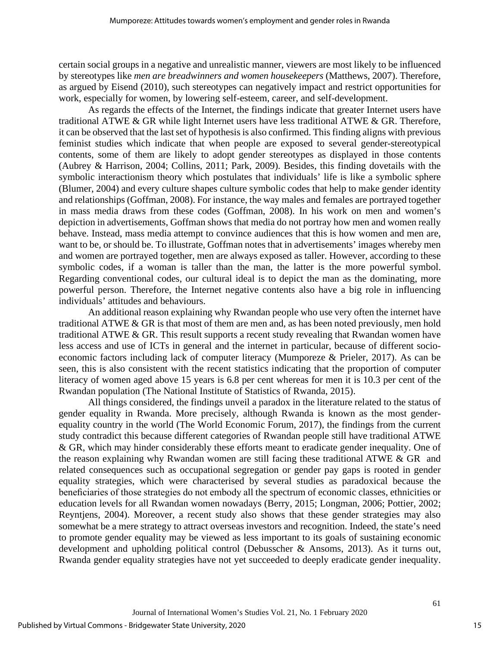certain social groups in a negative and unrealistic manner, viewers are most likely to be influenced by stereotypes like *men are breadwinners and women housekeepers* (Matthews, 2007). Therefore, as argued by Eisend (2010), such stereotypes can negatively impact and restrict opportunities for work, especially for women, by lowering self-esteem, career, and self-development.

As regards the effects of the Internet, the findings indicate that greater Internet users have traditional ATWE & GR while light Internet users have less traditional ATWE & GR. Therefore, it can be observed that the last set of hypothesis is also confirmed. This finding aligns with previous feminist studies which indicate that when people are exposed to several gender-stereotypical contents, some of them are likely to adopt gender stereotypes as displayed in those contents (Aubrey & Harrison, 2004; Collins, 2011; Park, 2009). Besides, this finding dovetails with the symbolic interactionism theory which postulates that individuals' life is like a symbolic sphere (Blumer, 2004) and every culture shapes culture symbolic codes that help to make gender identity and relationships (Goffman, 2008). For instance, the way males and females are portrayed together in mass media draws from these codes (Goffman, 2008). In his work on men and women's depiction in advertisements, Goffman shows that media do not portray how men and women really behave. Instead, mass media attempt to convince audiences that this is how women and men are, want to be, or should be. To illustrate, Goffman notes that in advertisements' images whereby men and women are portrayed together, men are always exposed as taller. However, according to these symbolic codes, if a woman is taller than the man, the latter is the more powerful symbol. Regarding conventional codes, our cultural ideal is to depict the man as the dominating, more powerful person. Therefore, the Internet negative contents also have a big role in influencing individuals' attitudes and behaviours.

An additional reason explaining why Rwandan people who use very often the internet have traditional ATWE & GR is that most of them are men and, as has been noted previously, men hold traditional ATWE & GR. This result supports a recent study revealing that Rwandan women have less access and use of ICTs in general and the internet in particular, because of different socioeconomic factors including lack of computer literacy (Mumporeze & Prieler, 2017). As can be seen, this is also consistent with the recent statistics indicating that the proportion of computer literacy of women aged above 15 years is 6.8 per cent whereas for men it is 10.3 per cent of the Rwandan population (The National Institute of Statistics of Rwanda, 2015).

All things considered, the findings unveil a paradox in the literature related to the status of gender equality in Rwanda. More precisely, although Rwanda is known as the most genderequality country in the world (The World Economic Forum, 2017), the findings from the current study contradict this because different categories of Rwandan people still have traditional ATWE & GR, which may hinder considerably these efforts meant to eradicate gender inequality. One of the reason explaining why Rwandan women are still facing these traditional ATWE  $\&$  GR and related consequences such as occupational segregation or gender pay gaps is rooted in gender equality strategies, which were characterised by several studies as paradoxical because the beneficiaries of those strategies do not embody all the spectrum of economic classes, ethnicities or education levels for all Rwandan women nowadays (Berry, 2015; Longman, 2006; Pottier, 2002; Reyntjens, 2004). Moreover, a recent study also shows that these gender strategies may also somewhat be a mere strategy to attract overseas investors and recognition. Indeed, the state's need to promote gender equality may be viewed as less important to its goals of sustaining economic development and upholding political control (Debusscher & Ansoms, 2013). As it turns out, Rwanda gender equality strategies have not yet succeeded to deeply eradicate gender inequality.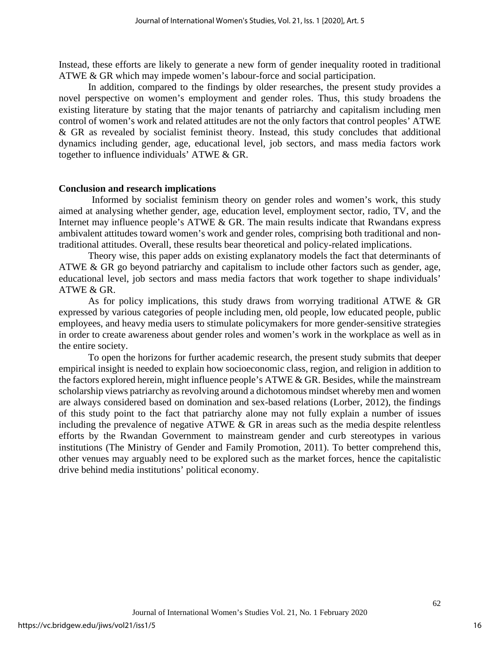Instead, these efforts are likely to generate a new form of gender inequality rooted in traditional ATWE & GR which may impede women's labour-force and social participation.

In addition, compared to the findings by older researches, the present study provides a novel perspective on women's employment and gender roles. Thus, this study broadens the existing literature by stating that the major tenants of patriarchy and capitalism including men control of women's work and related attitudes are not the only factors that control peoples' ATWE & GR as revealed by socialist feminist theory. Instead, this study concludes that additional dynamics including gender, age, educational level, job sectors, and mass media factors work together to influence individuals' ATWE & GR.

#### **Conclusion and research implications**

Informed by socialist feminism theory on gender roles and women's work, this study aimed at analysing whether gender, age, education level, employment sector, radio, TV, and the Internet may influence people's ATWE & GR. The main results indicate that Rwandans express ambivalent attitudes toward women's work and gender roles, comprising both traditional and nontraditional attitudes. Overall, these results bear theoretical and policy-related implications.

Theory wise, this paper adds on existing explanatory models the fact that determinants of ATWE & GR go beyond patriarchy and capitalism to include other factors such as gender, age, educational level, job sectors and mass media factors that work together to shape individuals' ATWE & GR.

As for policy implications, this study draws from worrying traditional ATWE & GR expressed by various categories of people including men, old people, low educated people, public employees, and heavy media users to stimulate policymakers for more gender-sensitive strategies in order to create awareness about gender roles and women's work in the workplace as well as in the entire society.

To open the horizons for further academic research, the present study submits that deeper empirical insight is needed to explain how socioeconomic class, region, and religion in addition to the factors explored herein, might influence people's ATWE & GR. Besides, while the mainstream scholarship views patriarchy as revolving around a dichotomous mindset whereby men and women are always considered based on domination and sex-based relations (Lorber, 2012), the findings of this study point to the fact that patriarchy alone may not fully explain a number of issues including the prevalence of negative ATWE  $\&$  GR in areas such as the media despite relentless efforts by the Rwandan Government to mainstream gender and curb stereotypes in various institutions (The Ministry of Gender and Family Promotion, 2011). To better comprehend this, other venues may arguably need to be explored such as the market forces, hence the capitalistic drive behind media institutions' political economy.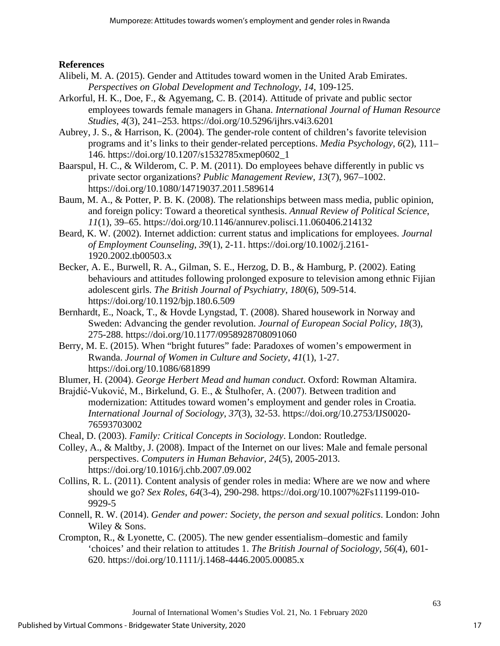**References**

- Alibeli, M. A. (2015). Gender and Attitudes toward women in the United Arab Emirates. *Perspectives on Global Development and Technology*, *14*, 109-125.
- Arkorful, H. K., Doe, F., & Agyemang, C. B. (2014). Attitude of private and public sector employees towards female managers in Ghana. *International Journal of Human Resource Studies*, *4*(3), 241–253. https://doi.org/10.5296/ijhrs.v4i3.6201
- Aubrey, J. S., & Harrison, K. (2004). The gender-role content of children's favorite television programs and it's links to their gender-related perceptions. *Media Psychology*, *6*(2), 111– 146. https://doi.org/10.1207/s1532785xmep0602\_1
- Baarspul, H. C., & Wilderom, C. P. M. (2011). Do employees behave differently in public vs private sector organizations? *Public Management Review*, *13*(7), 967–1002. https://doi.org/10.1080/14719037.2011.589614
- Baum, M. A., & Potter, P. B. K. (2008). The relationships between mass media, public opinion, and foreign policy: Toward a theoretical synthesis. *Annual Review of Political Science*, *11*(1), 39–65. https://doi.org/10.1146/annurev.polisci.11.060406.214132
- Beard, K. W. (2002). Internet addiction: current status and implications for employees. *Journal of Employment Counseling*, *39*(1), 2-11. https://doi.org/10.1002/j.2161- 1920.2002.tb00503.x
- Becker, A. E., Burwell, R. A., Gilman, S. E., Herzog, D. B., & Hamburg, P. (2002). Eating behaviours and attitudes following prolonged exposure to television among ethnic Fijian adolescent girls. *The British Journal of Psychiatry*, *180*(6), 509-514. https://doi.org/10.1192/bjp.180.6.509
- Bernhardt, E., Noack, T., & Hovde Lyngstad, T. (2008). Shared housework in Norway and Sweden: Advancing the gender revolution. *Journal of European Social Policy*, *18*(3), 275-288. https://doi.org/10.1177/0958928708091060
- Berry, M. E. (2015). When "bright futures" fade: Paradoxes of women's empowerment in Rwanda. *Journal of Women in Culture and Society*, *41*(1), 1-27. https://doi.org/10.1086/681899

Blumer, H. (2004). *George Herbert Mead and human conduct*. Oxford: Rowman Altamira.

Brajdić-Vuković, M., Birkelund, G. E., & Štulhofer, A. (2007). Between tradition and modernization: Attitudes toward women's employment and gender roles in Croatia. *International Journal of Sociology*, *37*(3), 32-53. https://doi.org/10.2753/IJS0020- 76593703002

Cheal, D. (2003). *Family: Critical Concepts in Sociology*. London: Routledge.

- Colley, A., & Maltby, J. (2008). Impact of the Internet on our lives: Male and female personal perspectives. *Computers in Human Behavior*, *24*(5), 2005-2013. https://doi.org/10.1016/j.chb.2007.09.002
- Collins, R. L. (2011). Content analysis of gender roles in media: Where are we now and where should we go? *Sex Roles*, *64*(3-4), 290-298. https://doi.org/10.1007%2Fs11199-010- 9929-5
- Connell, R. W. (2014). *Gender and power: Society, the person and sexual politics*. London: John Wiley & Sons.
- Crompton, R., & Lyonette, C. (2005). The new gender essentialism–domestic and family 'choices' and their relation to attitudes 1. *The British Journal of Sociology*, *56*(4), 601- 620. https://doi.org/10.1111/j.1468-4446.2005.00085.x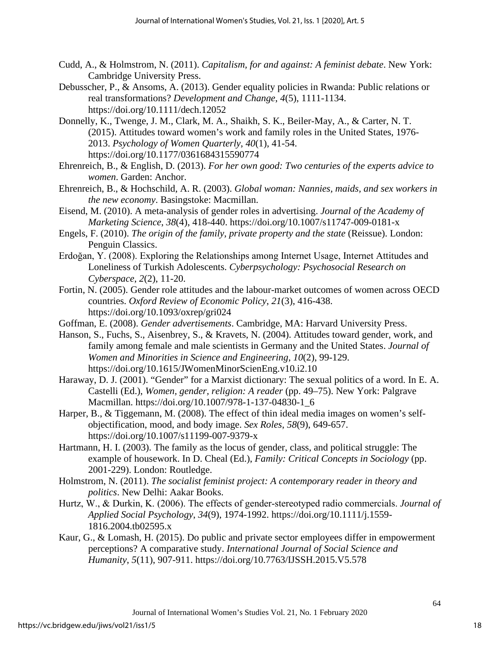- Cudd, A., & Holmstrom, N. (2011). *Capitalism, for and against: A feminist debate*. New York: Cambridge University Press.
- Debusscher, P., & Ansoms, A. (2013). Gender equality policies in Rwanda: Public relations or real transformations? *Development and Change*, *4*(5), 1111-1134. https://doi.org/10.1111/dech.12052
- Donnelly, K., Twenge, J. M., Clark, M. A., Shaikh, S. K., Beiler-May, A., & Carter, N. T. (2015). Attitudes toward women's work and family roles in the United States, 1976- 2013. *Psychology of Women Quarterly*, *40*(1), 41-54. https://doi.org/10.1177/0361684315590774
- Ehrenreich, B., & English, D. (2013). *For her own good: Two centuries of the experts advice to women*. Garden: Anchor.
- Ehrenreich, B., & Hochschild, A. R. (2003). *Global woman: Nannies, maids, and sex workers in the new economy*. Basingstoke: Macmillan.
- Eisend, M. (2010). A meta-analysis of gender roles in advertising. *Journal of the Academy of Marketing Science*, *38*(4), 418-440. https://doi.org/10.1007/s11747-009-0181-x
- Engels, F. (2010). *The origin of the family, private property and the state* (Reissue). London: Penguin Classics.
- Erdoğan, Y. (2008). Exploring the Relationships among Internet Usage, Internet Attitudes and Loneliness of Turkish Adolescents. *Cyberpsychology: Psychosocial Research on Cyberspace*, *2*(2), 11-20.
- Fortin, N. (2005). Gender role attitudes and the labour-market outcomes of women across OECD countries. *Oxford Review of Economic Policy*, *21*(3), 416-438. https://doi.org/10.1093/oxrep/gri024
- Goffman, E. (2008). *Gender advertisements*. Cambridge, MA: Harvard University Press.
- Hanson, S., Fuchs, S., Aisenbrey, S., & Kravets, N. (2004). Attitudes toward gender, work, and family among female and male scientists in Germany and the United States. *Journal of Women and Minorities in Science and Engineering*, *10*(2), 99-129. https://doi.org/10.1615/JWomenMinorScienEng.v10.i2.10
- Haraway, D. J. (2001). "Gender" for a Marxist dictionary: The sexual politics of a word. In E. A. Castelli (Ed.), *Women, gender, religion: A reader* (pp. 49–75). New York: Palgrave Macmillan. https://doi.org/10.1007/978-1-137-04830-1\_6
- Harper, B., & Tiggemann, M. (2008). The effect of thin ideal media images on women's selfobjectification, mood, and body image. *Sex Roles*, *58*(9), 649-657. https://doi.org/10.1007/s11199-007-9379-x
- Hartmann, H. I. (2003). The family as the locus of gender, class, and political struggle: The example of housework. In D. Cheal (Ed.), *Family: Critical Concepts in Sociology* (pp. 2001-229). London: Routledge.
- Holmstrom, N. (2011). *The socialist feminist project: A contemporary reader in theory and politics*. New Delhi: Aakar Books.
- Hurtz, W., & Durkin, K. (2006). The effects of gender‐stereotyped radio commercials. *Journal of Applied Social Psychology*, *34*(9), 1974-1992. https://doi.org/10.1111/j.1559- 1816.2004.tb02595.x
- Kaur, G., & Lomash, H. (2015). Do public and private sector employees differ in empowerment perceptions? A comparative study. *International Journal of Social Science and Humanity*, *5*(11), 907-911. https://doi.org/10.7763/IJSSH.2015.V5.578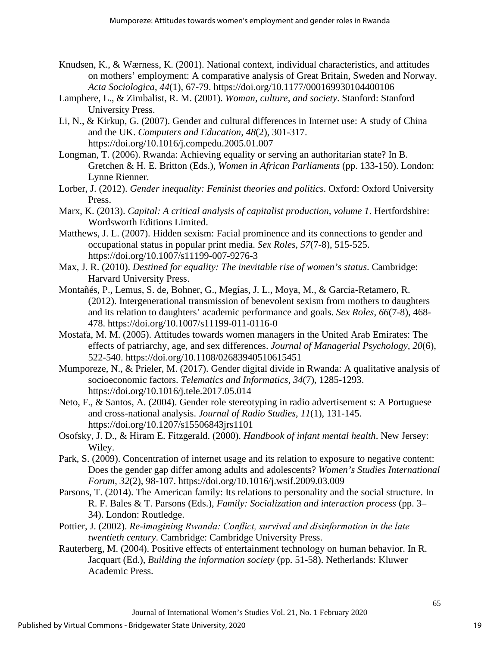- Knudsen, K., & Wærness, K. (2001). National context, individual characteristics, and attitudes on mothers' employment: A comparative analysis of Great Britain, Sweden and Norway. *Acta Sociologica*, *44*(1), 67-79. https://doi.org/10.1177/000169930104400106
- Lamphere, L., & Zimbalist, R. M. (2001). *Woman, culture, and society*. Stanford: Stanford University Press.
- Li, N., & Kirkup, G. (2007). Gender and cultural differences in Internet use: A study of China and the UK. *Computers and Education*, *48*(2), 301-317. https://doi.org/10.1016/j.compedu.2005.01.007
- Longman, T. (2006). Rwanda: Achieving equality or serving an authoritarian state? In B. Gretchen & H. E. Britton (Eds.), *Women in African Parliaments* (pp. 133-150). London: Lynne Rienner.
- Lorber, J. (2012). *Gender inequality: Feminist theories and politics*. Oxford: Oxford University Press.
- Marx, K. (2013). *Capital: A critical analysis of capitalist production, volume 1*. Hertfordshire: Wordsworth Editions Limited.
- Matthews, J. L. (2007). Hidden sexism: Facial prominence and its connections to gender and occupational status in popular print media. *Sex Roles*, *57*(7-8), 515-525. https://doi.org/10.1007/s11199-007-9276-3
- Max, J. R. (2010). *Destined for equality: The inevitable rise of women's status*. Cambridge: Harvard University Press.
- Montañés, P., Lemus, S. de, Bohner, G., Megías, J. L., Moya, M., & Garcia-Retamero, R. (2012). Intergenerational transmission of benevolent sexism from mothers to daughters and its relation to daughters' academic performance and goals. *Sex Roles*, *66*(7-8), 468- 478. https://doi.org/10.1007/s11199-011-0116-0
- Mostafa, M. M. (2005). Attitudes towards women managers in the United Arab Emirates: The effects of patriarchy, age, and sex differences. *Journal of Managerial Psychology, 20*(6), 522-540. https://doi.org/10.1108/02683940510615451
- Mumporeze, N., & Prieler, M. (2017). Gender digital divide in Rwanda: A qualitative analysis of socioeconomic factors. *Telematics and Informatics*, *34*(7), 1285-1293. https://doi.org/10.1016/j.tele.2017.05.014
- Neto, F., & Santos, A. (2004). Gender role stereotyping in radio advertisement s: A Portuguese and cross-national analysis. *Journal of Radio Studies*, *11*(1), 131-145. https://doi.org/10.1207/s15506843jrs1101
- Osofsky, J. D., & Hiram E. Fitzgerald. (2000). *Handbook of infant mental health*. New Jersey: Wiley.
- Park, S. (2009). Concentration of internet usage and its relation to exposure to negative content: Does the gender gap differ among adults and adolescents? *Women's Studies International Forum*, *32*(2), 98-107. https://doi.org/10.1016/j.wsif.2009.03.009
- Parsons, T. (2014). The American family: Its relations to personality and the social structure. In R. F. Bales & T. Parsons (Eds.), *Family: Socialization and interaction process* (pp. 3– 34). London: Routledge.
- Pottier, J. (2002). *Re-imagining Rwanda: Conflict, survival and disinformation in the late twentieth century*. Cambridge: Cambridge University Press.
- Rauterberg, M. (2004). Positive effects of entertainment technology on human behavior. In R. Jacquart (Ed.), *Building the information society* (pp. 51-58). Netherlands: Kluwer Academic Press.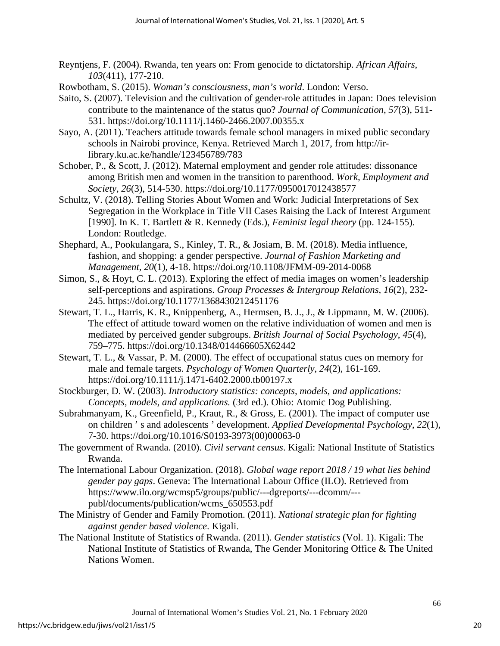- Reyntjens, F. (2004). Rwanda, ten years on: From genocide to dictatorship. *African Affairs*, *103*(411), 177-210.
- Rowbotham, S. (2015). *Woman's consciousness, man's world*. London: Verso.
- Saito, S. (2007). Television and the cultivation of gender-role attitudes in Japan: Does television contribute to the maintenance of the status quo? *Journal of Communication*, *57*(3), 511- 531. https://doi.org/10.1111/j.1460-2466.2007.00355.x
- Sayo, A. (2011). Teachers attitude towards female school managers in mixed public secondary schools in Nairobi province, Kenya. Retrieved March 1, 2017, from http://irlibrary.ku.ac.ke/handle/123456789/783
- Schober, P., & Scott, J. (2012). Maternal employment and gender role attitudes: dissonance among British men and women in the transition to parenthood. *Work, Employment and Society*, *26*(3), 514-530. https://doi.org/10.1177/0950017012438577
- Schultz, V. (2018). Telling Stories About Women and Work: Judicial Interpretations of Sex Segregation in the Workplace in Title VII Cases Raising the Lack of Interest Argument [1990]. In K. T. Bartlett & R. Kennedy (Eds.), *Feminist legal theory* (pp. 124-155). London: Routledge.
- Shephard, A., Pookulangara, S., Kinley, T. R., & Josiam, B. M. (2018). Media influence, fashion, and shopping: a gender perspective. *Journal of Fashion Marketing and Management*, *20*(1), 4-18. https://doi.org/10.1108/JFMM-09-2014-0068
- Simon, S., & Hoyt, C. L. (2013). Exploring the effect of media images on women's leadership self-perceptions and aspirations. *Group Processes & Intergroup Relations*, *16*(2), 232- 245. https://doi.org/10.1177/1368430212451176
- Stewart, T. L., Harris, K. R., Knippenberg, A., Hermsen, B. J., J., & Lippmann, M. W. (2006). The effect of attitude toward women on the relative individuation of women and men is mediated by perceived gender subgroups. *British Journal of Social Psychology*, *45*(4), 759–775. https://doi.org/10.1348/014466605X62442
- Stewart, T. L., & Vassar, P. M. (2000). The effect of occupational status cues on memory for male and female targets. *Psychology of Women Quarterly*, *24*(2), 161-169. https://doi.org/10.1111/j.1471-6402.2000.tb00197.x
- Stockburger, D. W. (2003). *Introductory statistics: concepts, models, and applications: Concepts, models, and applications.* (3rd ed.). Ohio: Atomic Dog Publishing.
- Subrahmanyam, K., Greenfield, P., Kraut, R., & Gross, E. (2001). The impact of computer use on children ' s and adolescents ' development. *Applied Developmental Psychology*, *22*(1), 7-30. https://doi.org/10.1016/S0193-3973(00)00063-0
- The government of Rwanda. (2010). *Civil servant census*. Kigali: National Institute of Statistics Rwanda.
- The International Labour Organization. (2018). *Global wage report 2018 / 19 what lies behind gender pay gaps*. Geneva: The International Labour Office (ILO). Retrieved from https://www.ilo.org/wcmsp5/groups/public/---dgreports/---dcomm/-- publ/documents/publication/wcms\_650553.pdf
- The Ministry of Gender and Family Promotion. (2011). *National strategic plan for fighting against gender based violence*. Kigali.
- The National Institute of Statistics of Rwanda. (2011). *Gender statistics* (Vol. 1). Kigali: The National Institute of Statistics of Rwanda, The Gender Monitoring Office & The United Nations Women.